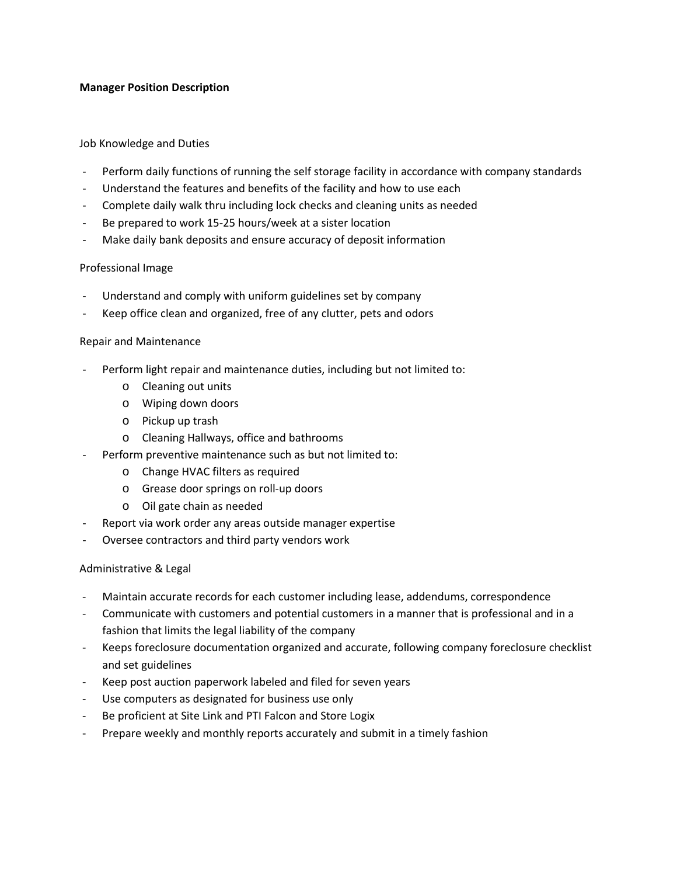## **Manager Position Description**

### Job Knowledge and Duties

- Perform daily functions of running the self storage facility in accordance with company standards
- Understand the features and benefits of the facility and how to use each
- Complete daily walk thru including lock checks and cleaning units as needed
- Be prepared to work 15-25 hours/week at a sister location
- Make daily bank deposits and ensure accuracy of deposit information

### Professional Image

- Understand and comply with uniform guidelines set by company
- Keep office clean and organized, free of any clutter, pets and odors

#### Repair and Maintenance

- Perform light repair and maintenance duties, including but not limited to:
	- o Cleaning out units
	- o Wiping down doors
	- o Pickup up trash
	- o Cleaning Hallways, office and bathrooms
- Perform preventive maintenance such as but not limited to:
	- o Change HVAC filters as required
	- o Grease door springs on roll-up doors
	- o Oil gate chain as needed
- Report via work order any areas outside manager expertise
- Oversee contractors and third party vendors work

### Administrative & Legal

- Maintain accurate records for each customer including lease, addendums, correspondence
- Communicate with customers and potential customers in a manner that is professional and in a fashion that limits the legal liability of the company
- Keeps foreclosure documentation organized and accurate, following company foreclosure checklist and set guidelines
- Keep post auction paperwork labeled and filed for seven years
- Use computers as designated for business use only
- Be proficient at Site Link and PTI Falcon and Store Logix
- Prepare weekly and monthly reports accurately and submit in a timely fashion